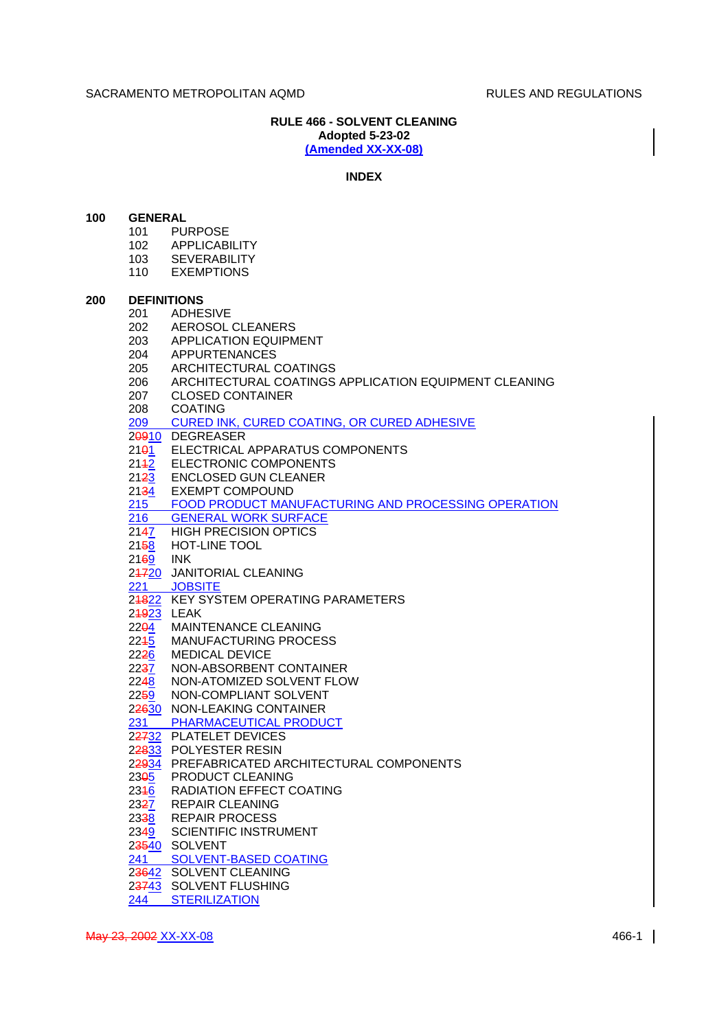# **RULE 466 - SOLVENT CLEANING Adopted 5-23-02 (Amended XX-XX-08)**

### **INDEX**

## **100 GENERAL**

- 101 PURPOSE
- 102 APPLICABILITY
- 103 SEVERABILITY
- 110 EXEMPTIONS

### **200 DEFINITIONS**

- 201 ADHESIVE
- 202 AEROSOL CLEANERS
- 203 APPLICATION EQUIPMENT
- 204 APPURTENANCES
- 205 ARCHITECTURAL COATINGS
- 206 ARCHITECTURAL COATINGS APPLICATION EQUIPMENT CLEANING
- 207 CLOSED CONTAINER
- 
- 208 COATING<br>209 CURED IN CURED INK, CURED COATING, OR CURED ADHESIVE

20910 DEGREASER

- 2101 ELECTRICAL APPARATUS COMPONENTS
- 2142 ELECTRONIC COMPONENTS
- 2123 ENCLOSED GUN CLEANER
- 2134 EXEMPT COMPOUND
- 215 FOOD PRODUCT MANUFACTURING AND PROCESSING OPERATION
- 216 GENERAL WORK SURFACE
- 2147 HIGH PRECISION OPTICS
- 2158 HOT-LINE TOOL
- 2169 INK
- 24720 JANITORIAL CLEANING<br>221 JOBSITE
- **JOBSITE**
- 24822 KEY SYSTEM OPERATING PARAMETERS
- $249\overline{23}$  LEAK
- 22<del>01</del> MAINTENANCE CLEANING
- 2245 MANUFACTURING PROCESS
- 2226 MEDICAL DEVICE<br>2237 NON-ABSORBENT
- NON-ABSORBENT CONTAINER
- 2248 NON-ATOMIZED SOLVENT FLOW
- 2259 NON-COMPLIANT SOLVENT
- 22630 NON-LEAKING CONTAINER<br>231 PHARMACEUTICAL PRODU

PHARMACEUTICAL PRODUCT

- 22732 PLATELET DEVICES
- 22833 POLYESTER RESIN
- 22934 PREFABRICATED ARCHITECTURAL COMPONENTS
- 23<del>0</del>5 PRODUCT CLEANING
- 2346 RADIATION EFFECT COATING<br>2327 REPAIR CLEANING
- 2327 REPAIR CLEANING<br>2338 REPAIR PROCESS
- **REPAIR PROCESS**
- 2349 SCIENTIFIC INSTRUMENT
- 23540 SOLVENT
- 241 SOLVENT-BASED COATING
- 23642 SOLVENT CLEANING
- 23743 SOLVENT FLUSHING
- 244 STERILIZATION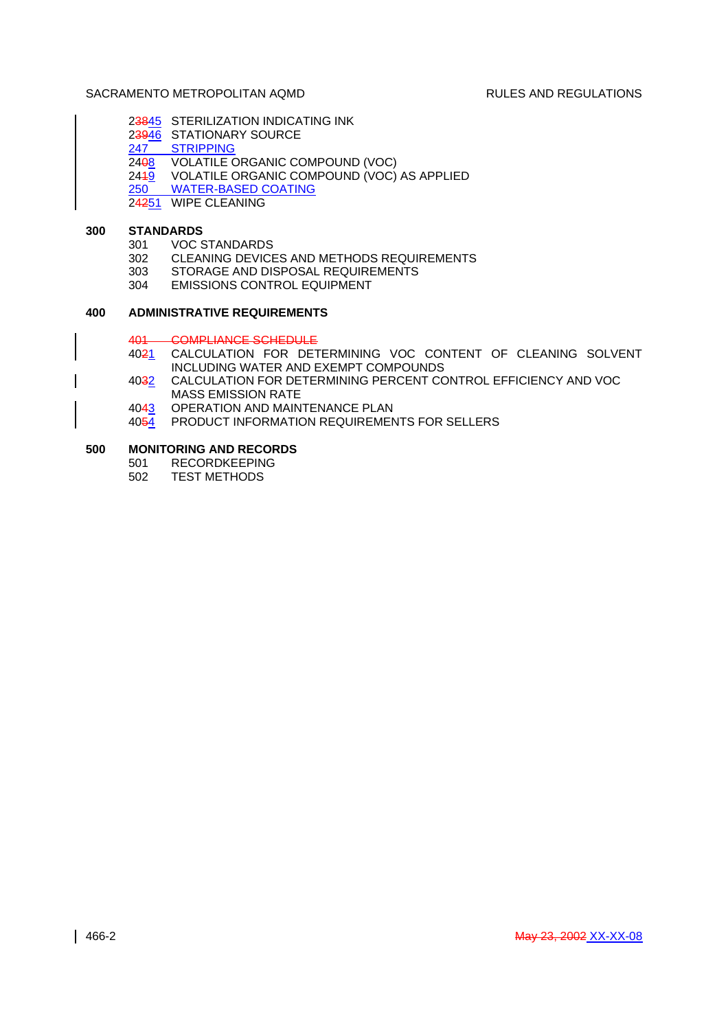- 23845 STERILIZATION INDICATING INK
- 23946 STATIONARY SOURCE<br>247 STRIPPING
	- **STRIPPING**
- 2408 VOLATILE ORGANIC COMPOUND (VOC)
- $244\overline{9}$  VOLATILE ORGANIC COMPOUND (VOC) AS APPLIED
- 250 WATER-BASED COATING
- 24251 WIPE CLEANING

# **300 STANDARDS**

- 301 VOC STANDARDS
- 302 CLEANING DEVICES AND METHODS REQUIREMENTS
- 303 STORAGE AND DISPOSAL REQUIREMENTS
- 304 EMISSIONS CONTROL EQUIPMENT

# **400 ADMINISTRATIVE REQUIREMENTS**

## 401 COMPLIANCE SCHEDULE

- 4021 CALCULATION FOR DETERMINING VOC CONTENT OF CLEANING SOLVENT INCLUDING WATER AND EXEMPT COMPOUNDS
- 4032 CALCULATION FOR DETERMINING PERCENT CONTROL EFFICIENCY AND VOC MASS EMISSION RATE
- 4043 OPERATION AND MAINTENANCE PLAN
- 4054 PRODUCT INFORMATION REQUIREMENTS FOR SELLERS

## **500 MONITORING AND RECORDS**

- 501 RECORDKEEPING
- 502 TEST METHODS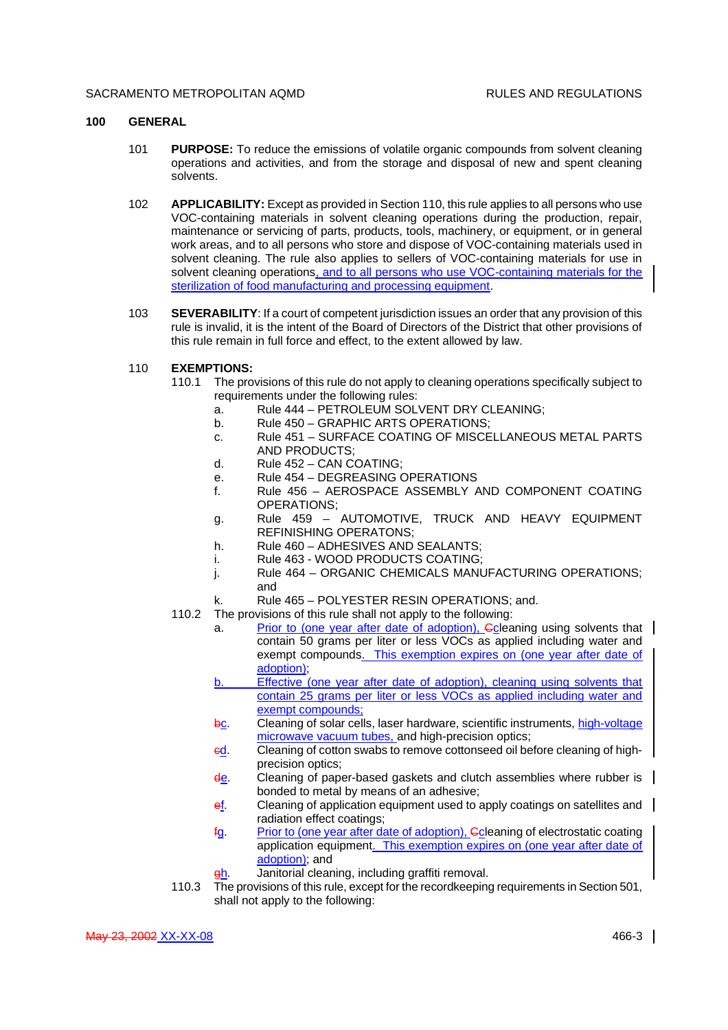## **100 GENERAL**

- 101 **PURPOSE:** To reduce the emissions of volatile organic compounds from solvent cleaning operations and activities, and from the storage and disposal of new and spent cleaning solvents.
- 102 **APPLICABILITY:** Except as provided in Section 110, this rule applies to all persons who use VOC-containing materials in solvent cleaning operations during the production, repair, maintenance or servicing of parts, products, tools, machinery, or equipment, or in general work areas, and to all persons who store and dispose of VOC-containing materials used in solvent cleaning. The rule also applies to sellers of VOC-containing materials for use in solvent cleaning operations, and to all persons who use VOC-containing materials for the sterilization of food manufacturing and processing equipment.
- 103 **SEVERABILITY**: If a court of competent jurisdiction issues an order that any provision of this rule is invalid, it is the intent of the Board of Directors of the District that other provisions of this rule remain in full force and effect, to the extent allowed by law.
- 110 **EXEMPTIONS:**
	- 110.1 The provisions of this rule do not apply to cleaning operations specifically subject to requirements under the following rules:
		- a. Rule 444 PETROLEUM SOLVENT DRY CLEANING;
		- b. Rule 450 GRAPHIC ARTS OPERATIONS:
		- c. Rule 451 SURFACE COATING OF MISCELLANEOUS METAL PARTS AND PRODUCTS;
		- d. Rule 452 CAN COATING;
		- e. Rule 454 DEGREASING OPERATIONS
		- f. Rule 456 AEROSPACE ASSEMBLY AND COMPONENT COATING OPERATIONS;
		- g. Rule 459 AUTOMOTIVE, TRUCK AND HEAVY EQUIPMENT REFINISHING OPERATONS;
		- h. Rule 460 ADHESIVES AND SEALANTS;
		- i. Rule 463 WOOD PRODUCTS COATING;
		- j. Rule 464 ORGANIC CHEMICALS MANUFACTURING OPERATIONS; and
		- k. Rule 465 POLYESTER RESIN OPERATIONS; and.
	- 110.2 The provisions of this rule shall not apply to the following:
		- a. Prior to (one year after date of adoption), Ccleaning using solvents that contain 50 grams per liter or less VOCs as applied including water and exempt compounds. This exemption expires on (one year after date of adoption);
		- b. Effective (one year after date of adoption), cleaning using solvents that contain 25 grams per liter or less VOCs as applied including water and exempt compounds;
		- bc. Cleaning of solar cells, laser hardware, scientific instruments, high-voltage microwave vacuum tubes, and high-precision optics;
		- ed. Cleaning of cotton swabs to remove cottonseed oil before cleaning of highprecision optics;
		- de. Cleaning of paper-based gaskets and clutch assemblies where rubber is bonded to metal by means of an adhesive;
		- ef. Cleaning of application equipment used to apply coatings on satellites and | radiation effect coatings;
		- fg. Prior to (one year after date of adoption), Ccleaning of electrostatic coating application equipment. This exemption expires on (one year after date of adoption); and
		- gh. Janitorial cleaning, including graffiti removal.
	- 110.3 The provisions of this rule, except for the recordkeeping requirements in Section 501, shall not apply to the following: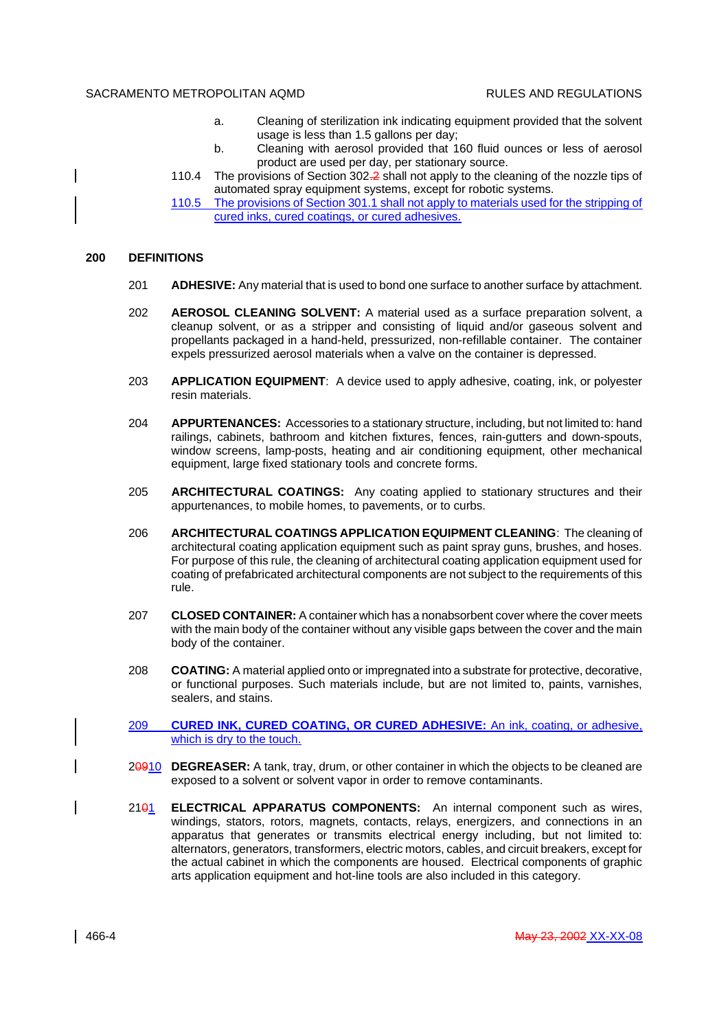- a. Cleaning of sterilization ink indicating equipment provided that the solvent usage is less than 1.5 gallons per day;
- b. Cleaning with aerosol provided that 160 fluid ounces or less of aerosol product are used per day, per stationary source.
- 110.4 The provisions of Section 302.2 shall not apply to the cleaning of the nozzle tips of automated spray equipment systems, except for robotic systems.
- 110.5 The provisions of Section 301.1 shall not apply to materials used for the stripping of cured inks, cured coatings, or cured adhesives.

#### **200 DEFINITIONS**

- 201 **ADHESIVE:** Any material that is used to bond one surface to another surface by attachment.
- 202 **AEROSOL CLEANING SOLVENT:** A material used as a surface preparation solvent, a cleanup solvent, or as a stripper and consisting of liquid and/or gaseous solvent and propellants packaged in a hand-held, pressurized, non-refillable container. The container expels pressurized aerosol materials when a valve on the container is depressed.
- 203 **APPLICATION EQUIPMENT**: A device used to apply adhesive, coating, ink, or polyester resin materials.
- 204 **APPURTENANCES:** Accessories to a stationary structure, including, but not limited to: hand railings, cabinets, bathroom and kitchen fixtures, fences, rain-gutters and down-spouts, window screens, lamp-posts, heating and air conditioning equipment, other mechanical equipment, large fixed stationary tools and concrete forms.
- 205 **ARCHITECTURAL COATINGS:** Any coating applied to stationary structures and their appurtenances, to mobile homes, to pavements, or to curbs.
- 206 **ARCHITECTURAL COATINGS APPLICATION EQUIPMENT CLEANING**: The cleaning of architectural coating application equipment such as paint spray guns, brushes, and hoses. For purpose of this rule, the cleaning of architectural coating application equipment used for coating of prefabricated architectural components are not subject to the requirements of this rule.
- 207 **CLOSED CONTAINER:** A container which has a nonabsorbent cover where the cover meets with the main body of the container without any visible gaps between the cover and the main body of the container.
- 208 **COATING:** A material applied onto or impregnated into a substrate for protective, decorative, or functional purposes. Such materials include, but are not limited to, paints, varnishes, sealers, and stains.
- 209 **CURED INK, CURED COATING, OR CURED ADHESIVE:** An ink, coating, or adhesive, which is dry to the touch.
- 20910 **DEGREASER:** A tank, tray, drum, or other container in which the objects to be cleaned are exposed to a solvent or solvent vapor in order to remove contaminants.
- 2101 **ELECTRICAL APPARATUS COMPONENTS:** An internal component such as wires, windings, stators, rotors, magnets, contacts, relays, energizers, and connections in an apparatus that generates or transmits electrical energy including, but not limited to: alternators, generators, transformers, electric motors, cables, and circuit breakers, except for the actual cabinet in which the components are housed. Electrical components of graphic arts application equipment and hot-line tools are also included in this category.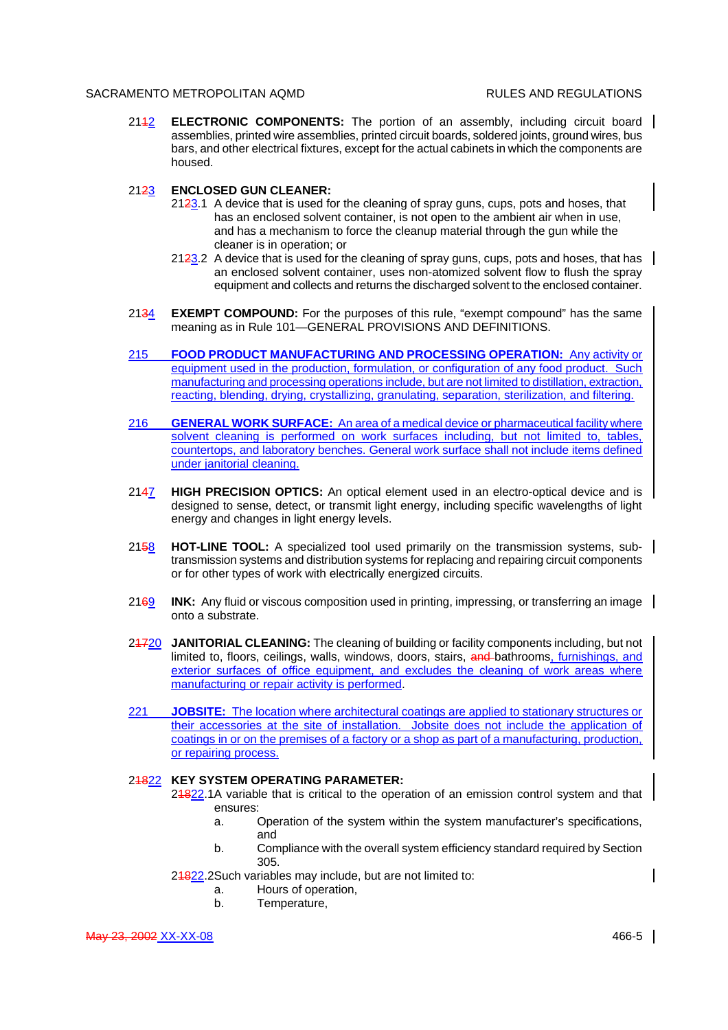2112 **ELECTRONIC COMPONENTS:** The portion of an assembly, including circuit board assemblies, printed wire assemblies, printed circuit boards, soldered joints, ground wires, bus bars, and other electrical fixtures, except for the actual cabinets in which the components are housed.

## 2123 **ENCLOSED GUN CLEANER:**

- 2123.1 A device that is used for the cleaning of spray guns, cups, pots and hoses, that has an enclosed solvent container, is not open to the ambient air when in use, and has a mechanism to force the cleanup material through the gun while the cleaner is in operation; or
- $2123.2$  A device that is used for the cleaning of spray guns, cups, pots and hoses, that has an enclosed solvent container, uses non-atomized solvent flow to flush the spray equipment and collects and returns the discharged solvent to the enclosed container.
- 2134 **EXEMPT COMPOUND:** For the purposes of this rule, "exempt compound" has the same meaning as in Rule 101—GENERAL PROVISIONS AND DEFINITIONS.
- 215 **FOOD PRODUCT MANUFACTURING AND PROCESSING OPERATION:** Any activity or equipment used in the production, formulation, or configuration of any food product. Such manufacturing and processing operations include, but are not limited to distillation, extraction, reacting, blending, drying, crystallizing, granulating, separation, sterilization, and filtering.
- 216 **GENERAL WORK SURFACE:** An area of a medical device or pharmaceutical facility where solvent cleaning is performed on work surfaces including, but not limited to, tables, countertops, and laboratory benches. General work surface shall not include items defined under janitorial cleaning.
- 2147 **HIGH PRECISION OPTICS:** An optical element used in an electro-optical device and is designed to sense, detect, or transmit light energy, including specific wavelengths of light energy and changes in light energy levels.
- 2158 HOT-LINE TOOL: A specialized tool used primarily on the transmission systems, subtransmission systems and distribution systems for replacing and repairing circuit components or for other types of work with electrically energized circuits.
- 2169 **INK:** Any fluid or viscous composition used in printing, impressing, or transferring an image onto a substrate.
- 21720 **JANITORIAL CLEANING:** The cleaning of building or facility components including, but not limited to, floors, ceilings, walls, windows, doors, stairs, and bathrooms, furnishings, and exterior surfaces of office equipment, and excludes the cleaning of work areas where manufacturing or repair activity is performed.
- 221 **JOBSITE:** The location where architectural coatings are applied to stationary structures or their accessories at the site of installation. Jobsite does not include the application of coatings in or on the premises of a factory or a shop as part of a manufacturing, production, or repairing process.

# 21822 **KEY SYSTEM OPERATING PARAMETER:**

- 24822.1A variable that is critical to the operation of an emission control system and that ensures:
	- a. Operation of the system within the system manufacturer's specifications, and
	- b. Compliance with the overall system efficiency standard required by Section 305.
- 24822.2Such variables may include, but are not limited to:
	- a. Hours of operation,
	- b. Temperature,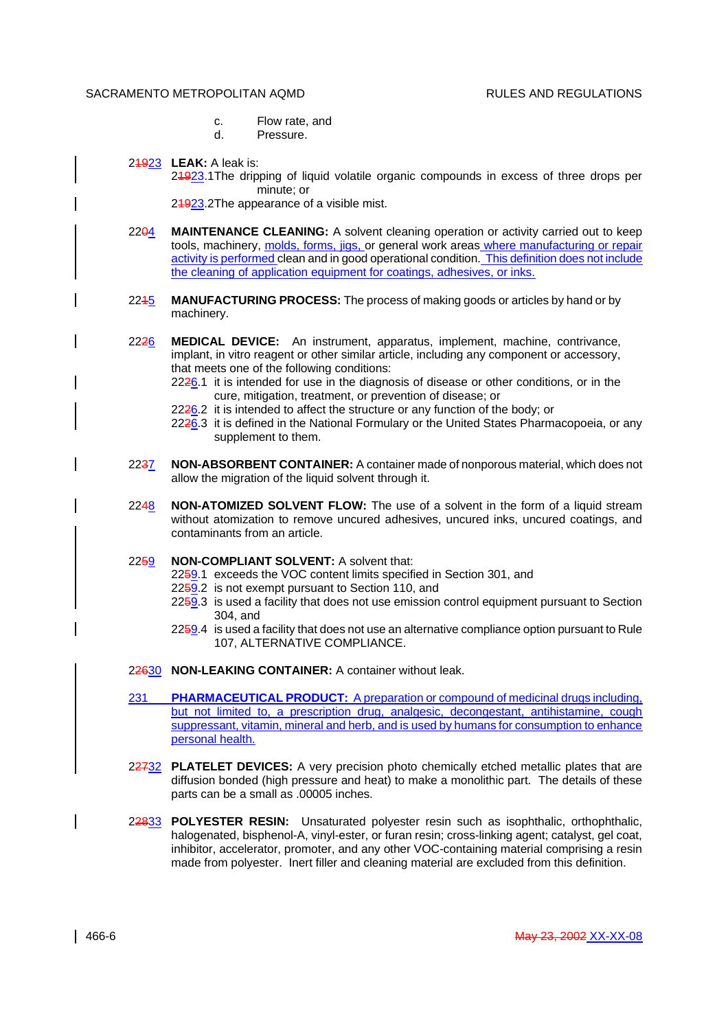- c. Flow rate, and
- d. Pressure.
- 21923 **LEAK:** A leak is:

21923.1The dripping of liquid volatile organic compounds in excess of three drops per minute; or

24923.2The appearance of a visible mist.

- 22<del>04</del> MAINTENANCE CLEANING: A solvent cleaning operation or activity carried out to keep tools, machinery, molds, forms, jigs, or general work areas where manufacturing or repair activity is performed clean and in good operational condition. This definition does not include the cleaning of application equipment for coatings, adhesives, or inks.
- 2215 **MANUFACTURING PROCESS:** The process of making goods or articles by hand or by machinery.
- 2226 **MEDICAL DEVICE:** An instrument, apparatus, implement, machine, contrivance, implant, in vitro reagent or other similar article, including any component or accessory, that meets one of the following conditions:
	- 2226.1 it is intended for use in the diagnosis of disease or other conditions, or in the cure, mitigation, treatment, or prevention of disease; or
	- 2226.2 it is intended to affect the structure or any function of the body; or
	- 2226.3 it is defined in the National Formulary or the United States Pharmacopoeia, or any supplement to them.
- 2237 **NON-ABSORBENT CONTAINER:** A container made of nonporous material, which does not allow the migration of the liquid solvent through it.
- 2248 **NON-ATOMIZED SOLVENT FLOW:** The use of a solvent in the form of a liquid stream without atomization to remove uncured adhesives, uncured inks, uncured coatings, and contaminants from an article.
- 2259 **NON-COMPLIANT SOLVENT:** A solvent that:
	- 2259.1 exceeds the VOC content limits specified in Section 301, and
	- 2259.2 is not exempt pursuant to Section 110, and
	- 2259.3 is used a facility that does not use emission control equipment pursuant to Section 304, and
	- 2259.4 is used a facility that does not use an alternative compliance option pursuant to Rule 107, ALTERNATIVE COMPLIANCE.
- 22630 **NON-LEAKING CONTAINER:** A container without leak.
- 231 **PHARMACEUTICAL PRODUCT:** A preparation or compound of medicinal drugs including, but not limited to, a prescription drug, analgesic, decongestant, antihistamine, cough suppressant, vitamin, mineral and herb, and is used by humans for consumption to enhance personal health.
- 22732 **PLATELET DEVICES:** A very precision photo chemically etched metallic plates that are diffusion bonded (high pressure and heat) to make a monolithic part. The details of these parts can be a small as .00005 inches.
- 22833 **POLYESTER RESIN:** Unsaturated polyester resin such as isophthalic, orthophthalic, halogenated, bisphenol-A, vinyl-ester, or furan resin; cross-linking agent; catalyst, gel coat, inhibitor, accelerator, promoter, and any other VOC-containing material comprising a resin made from polyester. Inert filler and cleaning material are excluded from this definition.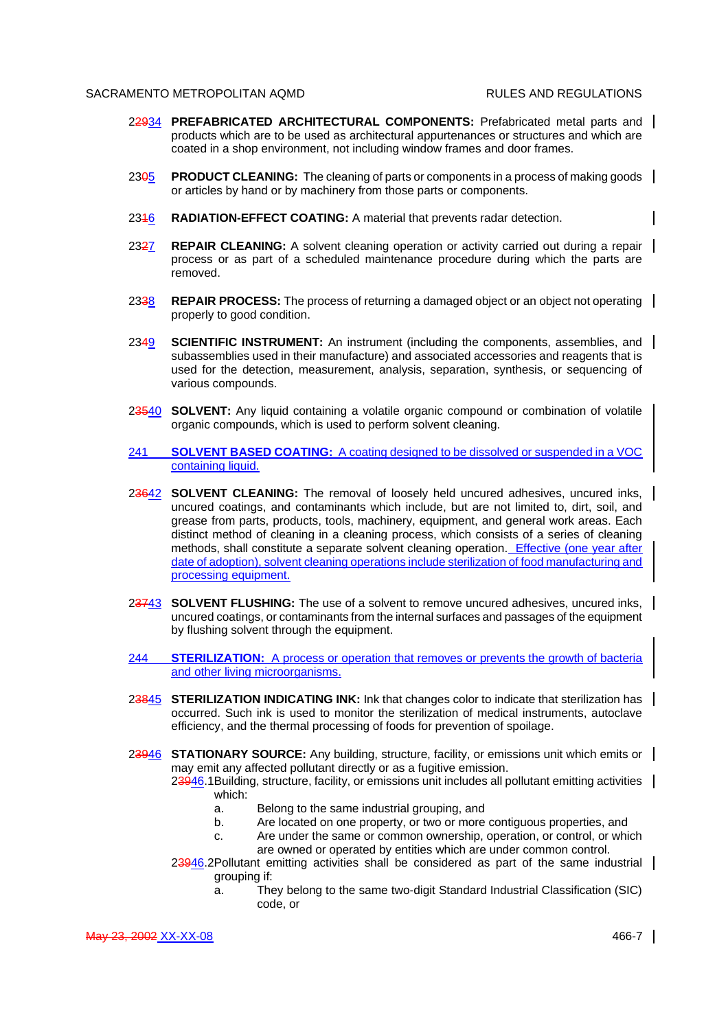- 22934 **PREFABRICATED ARCHITECTURAL COMPONENTS:** Prefabricated metal parts and products which are to be used as architectural appurtenances or structures and which are coated in a shop environment, not including window frames and door frames.
- 23<del>0</del>5 **PRODUCT CLEANING:** The cleaning of parts or components in a process of making goods or articles by hand or by machinery from those parts or components.
- 2346 **RADIATION-EFFECT COATING:** A material that prevents radar detection.
- 2327 **REPAIR CLEANING:** A solvent cleaning operation or activity carried out during a repair | process or as part of a scheduled maintenance procedure during which the parts are removed.
- 2338 **REPAIR PROCESS:** The process of returning a damaged object or an object not operating | properly to good condition.
- 2349 **SCIENTIFIC INSTRUMENT:** An instrument (including the components, assemblies, and subassemblies used in their manufacture) and associated accessories and reagents that is used for the detection, measurement, analysis, separation, synthesis, or sequencing of various compounds.
- 23540 **SOLVENT:** Any liquid containing a volatile organic compound or combination of volatile organic compounds, which is used to perform solvent cleaning.
- 241 **SOLVENT BASED COATING:** A coating designed to be dissolved or suspended in a VOC containing liquid.
- 23642 **SOLVENT CLEANING:** The removal of loosely held uncured adhesives, uncured inks, uncured coatings, and contaminants which include, but are not limited to, dirt, soil, and grease from parts, products, tools, machinery, equipment, and general work areas. Each distinct method of cleaning in a cleaning process, which consists of a series of cleaning methods, shall constitute a separate solvent cleaning operation. Effective (one year after date of adoption), solvent cleaning operations include sterilization of food manufacturing and processing equipment.
- 23743 **SOLVENT FLUSHING:** The use of a solvent to remove uncured adhesives, uncured inks, uncured coatings, or contaminants from the internal surfaces and passages of the equipment by flushing solvent through the equipment.
- 244 **STERILIZATION:** A process or operation that removes or prevents the growth of bacteria and other living microorganisms.
- 23845 **STERILIZATION INDICATING INK:** Ink that changes color to indicate that sterilization has occurred. Such ink is used to monitor the sterilization of medical instruments, autoclave efficiency, and the thermal processing of foods for prevention of spoilage.
- 23946 **STATIONARY SOURCE:** Any building, structure, facility, or emissions unit which emits or may emit any affected pollutant directly or as a fugitive emission.

23946.1Building, structure, facility, or emissions unit includes all pollutant emitting activities | which:

- a. Belong to the same industrial grouping, and
- b. Are located on one property, or two or more contiguous properties, and
- c. Are under the same or common ownership, operation, or control, or which are owned or operated by entities which are under common control.
- $23946.2$ Pollutant emitting activities shall be considered as part of the same industrial grouping if:
	- a. They belong to the same two-digit Standard Industrial Classification (SIC) code, or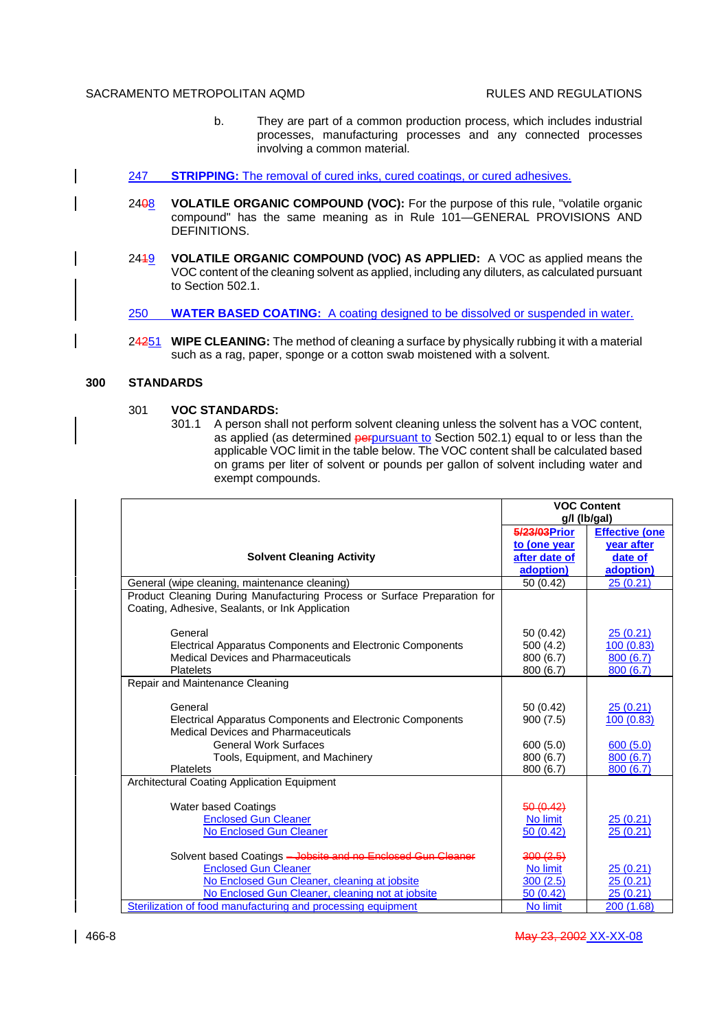- b. They are part of a common production process, which includes industrial processes, manufacturing processes and any connected processes involving a common material.
- 247 **STRIPPING:** The removal of cured inks, cured coatings, or cured adhesives.
	- 2408 **VOLATILE ORGANIC COMPOUND (VOC):** For the purpose of this rule, "volatile organic compound" has the same meaning as in Rule 101—GENERAL PROVISIONS AND DEFINITIONS.
	- 2419 **VOLATILE ORGANIC COMPOUND (VOC) AS APPLIED:** A VOC as applied means the VOC content of the cleaning solvent as applied, including any diluters, as calculated pursuant to Section 502.1.

250 **WATER BASED COATING:** A coating designed to be dissolved or suspended in water.

24251 **WIPE CLEANING:** The method of cleaning a surface by physically rubbing it with a material such as a rag, paper, sponge or a cotton swab moistened with a solvent.

# **300 STANDARDS**

## 301 **VOC STANDARDS:**

301.1 A person shall not perform solvent cleaning unless the solvent has a VOC content, as applied (as determined *perpursuant to* Section 502.1) equal to or less than the applicable VOC limit in the table below. The VOC content shall be calculated based on grams per liter of solvent or pounds per gallon of solvent including water and exempt compounds.

|                                                                                                                             | <b>VOC Content</b><br>g/l (lb/gal) |                       |  |
|-----------------------------------------------------------------------------------------------------------------------------|------------------------------------|-----------------------|--|
|                                                                                                                             | 5/23/03 Prior                      | <b>Effective (one</b> |  |
|                                                                                                                             | to (one year                       | <b>vear after</b>     |  |
| <b>Solvent Cleaning Activity</b>                                                                                            | after date of                      | date of               |  |
|                                                                                                                             | adoption)                          | adoption)             |  |
| General (wipe cleaning, maintenance cleaning)                                                                               | 50 (0.42)                          | 25(0.21)              |  |
| Product Cleaning During Manufacturing Process or Surface Preparation for<br>Coating, Adhesive, Sealants, or Ink Application |                                    |                       |  |
| General                                                                                                                     | 50 (0.42)                          | 25(0.21)              |  |
| Electrical Apparatus Components and Electronic Components                                                                   | 500 (4.2)                          | 100 (0.83)            |  |
| <b>Medical Devices and Pharmaceuticals</b>                                                                                  | 800 (6.7)                          | 800(6.7)              |  |
| <b>Platelets</b>                                                                                                            | 800 (6.7)                          | 800 (6.7)             |  |
| Repair and Maintenance Cleaning                                                                                             |                                    |                       |  |
| General                                                                                                                     | 50 (0.42)                          | 25 (0.21)             |  |
| Electrical Apparatus Components and Electronic Components<br><b>Medical Devices and Pharmaceuticals</b>                     | 900(7.5)                           | 100 (0.83)            |  |
| <b>General Work Surfaces</b>                                                                                                | 600(5.0)                           | 600(5.0)              |  |
| Tools, Equipment, and Machinery                                                                                             | 800 (6.7)                          | 800(6.7)              |  |
| <b>Platelets</b>                                                                                                            | 800 (6.7)                          | 800 (6.7)             |  |
| Architectural Coating Application Equipment                                                                                 |                                    |                       |  |
| Water based Coatings                                                                                                        | 50(0.42)                           |                       |  |
| <b>Enclosed Gun Cleaner</b>                                                                                                 | No limit                           | 25(0.21)              |  |
| <b>No Enclosed Gun Cleaner</b>                                                                                              | 50(0.42)                           | 25(0.21)              |  |
| Solvent based Coatings - Jobsite and no Enclosed Gun Cleaner                                                                | 300(2.5)                           |                       |  |
| <b>Enclosed Gun Cleaner</b>                                                                                                 | No limit                           | 25(0.21)              |  |
| No Enclosed Gun Cleaner, cleaning at jobsite                                                                                | 300(2.5)                           | 25 (0.21)             |  |
| No Enclosed Gun Cleaner, cleaning not at jobsite                                                                            | 50 (0.42)                          | 25(0.21)              |  |
| Sterilization of food manufacturing and processing equipment                                                                | No limit                           | 200 (1.68)            |  |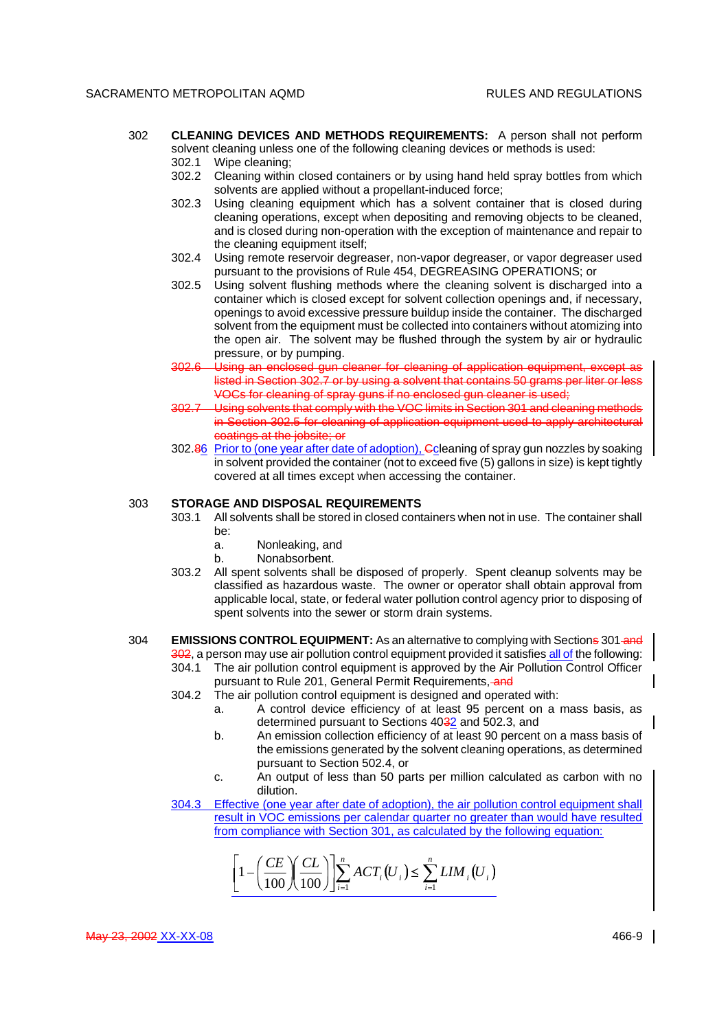- 302 **CLEANING DEVICES AND METHODS REQUIREMENTS:** A person shall not perform solvent cleaning unless one of the following cleaning devices or methods is used: 302.1 Wipe cleaning;
	- 302.2 Cleaning within closed containers or by using hand held spray bottles from which solvents are applied without a propellant-induced force;
	- 302.3 Using cleaning equipment which has a solvent container that is closed during cleaning operations, except when depositing and removing objects to be cleaned, and is closed during non-operation with the exception of maintenance and repair to the cleaning equipment itself;
	- 302.4 Using remote reservoir degreaser, non-vapor degreaser, or vapor degreaser used pursuant to the provisions of Rule 454, DEGREASING OPERATIONS; or
	- 302.5 Using solvent flushing methods where the cleaning solvent is discharged into a container which is closed except for solvent collection openings and, if necessary, openings to avoid excessive pressure buildup inside the container. The discharged solvent from the equipment must be collected into containers without atomizing into the open air. The solvent may be flushed through the system by air or hydraulic pressure, or by pumping.
	- 302.6 Using an enclosed gun cleaner for cleaning of application equipment, except as listed in Section 302.7 or by using a solvent that contains 50 grams per liter or less VOCs for cleaning of spray guns if no enclosed gun cleaner is used;
	- 302.7 Using solvents that comply with the VOC limits in Section 301 and cleaning methods in Section 302.5 for cleaning of application equipment used to apply architectural coatings at the jobsite; or
	- 302.86 Prior to (one year after date of adoption), Coleaning of spray gun nozzles by soaking in solvent provided the container (not to exceed five (5) gallons in size) is kept tightly covered at all times except when accessing the container.

### 303 **STORAGE AND DISPOSAL REQUIREMENTS**

- 303.1 All solvents shall be stored in closed containers when not in use. The container shall be:
	- a. Nonleaking, and
	- b. Nonabsorbent.
- 303.2 All spent solvents shall be disposed of properly. Spent cleanup solvents may be classified as hazardous waste. The owner or operator shall obtain approval from applicable local, state, or federal water pollution control agency prior to disposing of spent solvents into the sewer or storm drain systems.
- 304 **EMISSIONS CONTROL EQUIPMENT:** As an alternative to complying with Sections 301 and 302, a person may use air pollution control equipment provided it satisfies all of the following:
	- 304.1 The air pollution control equipment is approved by the Air Pollution Control Officer pursuant to Rule 201, General Permit Requirements, and
	- 304.2 The air pollution control equipment is designed and operated with:
		- a. A control device efficiency of at least 95 percent on a mass basis, as determined pursuant to Sections 4032 and 502.3, and
		- b. An emission collection efficiency of at least 90 percent on a mass basis of the emissions generated by the solvent cleaning operations, as determined pursuant to Section 502.4, or
		- c. An output of less than 50 parts per million calculated as carbon with no dilution.
	- 304.3 Effective (one year after date of adoption), the air pollution control equipment shall result in VOC emissions per calendar quarter no greater than would have resulted from compliance with Section 301, as calculated by the following equation:

$$
\left[1-\left(\frac{CE}{100}\right)\left(\frac{CL}{100}\right)\right]\sum_{i=1}^{n} ACT_i\left(U_i\right) \le \sum_{i=1}^{n} LIM_i\left(U_i\right)
$$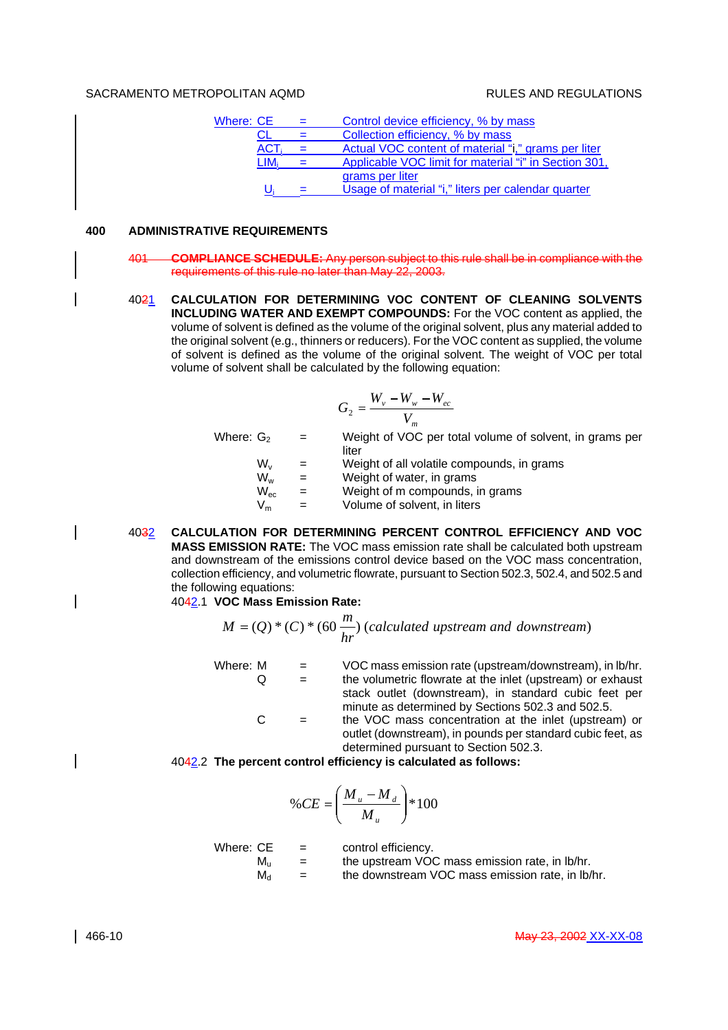| Where: CE |            | Control device efficiency, % by mass                  |
|-----------|------------|-------------------------------------------------------|
|           |            | Collection efficiency, % by mass                      |
|           | <b>ACT</b> | Actual VOC content of material "i," grams per liter   |
|           |            | Applicable VOC limit for material "i" in Section 301, |
|           |            | grams per liter                                       |
|           |            | Usage of material "i," liters per calendar quarter    |

# **400 ADMINISTRATIVE REQUIREMENTS**

- 401 **COMPLIANCE SCHEDULE:** Any person subject to this rule shall be in compliance with the requirements of this rule no later than May 22, 2003.
- 4021 **CALCULATION FOR DETERMINING VOC CONTENT OF CLEANING SOLVENTS INCLUDING WATER AND EXEMPT COMPOUNDS:** For the VOC content as applied, the volume of solvent is defined as the volume of the original solvent, plus any material added to the original solvent (e.g., thinners or reducers). For the VOC content as supplied, the volume of solvent is defined as the volume of the original solvent. The weight of VOC per total volume of solvent shall be calculated by the following equation:

$$
G_2 = \frac{W_v - W_w - W_{ec}}{V_m}
$$

Where:  $G<sub>2</sub>$  = Weight of VOC per total volume of solvent, in grams per liter

- $W_v$  = Weight of all volatile compounds, in grams<br> $W_w$  = Weight of water, in grams
- $W_w$  = Weight of water, in grams<br> $W_{ac}$  = Weight of m compounds, i
	- Weight of m compounds, in grams
- $V_m$  = Volume of solvent, in liters
- 4032 **CALCULATION FOR DETERMINING PERCENT CONTROL EFFICIENCY AND VOC MASS EMISSION RATE:** The VOC mass emission rate shall be calculated both upstream and downstream of the emissions control device based on the VOC mass concentration, collection efficiency, and volumetric flowrate, pursuant to Section 502.3, 502.4, and 502.5 and the following equations:

4042.1 **VOC Mass Emission Rate:**

$$
M = (Q) * (C) * (60 \frac{m}{hr})
$$
 (calculated upstream and downstream)

Where:  $M = VOC$  mass emission rate (upstream/downstream), in  $\frac{b}{h}$ .  $Q =$  the volumetric flowrate at the inlet (upstream) or exhaust stack outlet (downstream), in standard cubic feet per minute as determined by Sections 502.3 and 502.5.

 $C =$  the VOC mass concentration at the inlet (upstream) or outlet (downstream), in pounds per standard cubic feet, as determined pursuant to Section 502.3.

4042.2 **The percent control efficiency is calculated as follows:**

$$
\%CE = \left(\frac{M_u - M_d}{M_u}\right) * 100
$$

| Where: CE   | $=$ | control efficiency.                              |
|-------------|-----|--------------------------------------------------|
| М.,         | $=$ | the upstream VOC mass emission rate, in lb/hr.   |
| $M_{\rm d}$ | $=$ | the downstream VOC mass emission rate, in lb/hr. |

 $\overline{\phantom{a}}$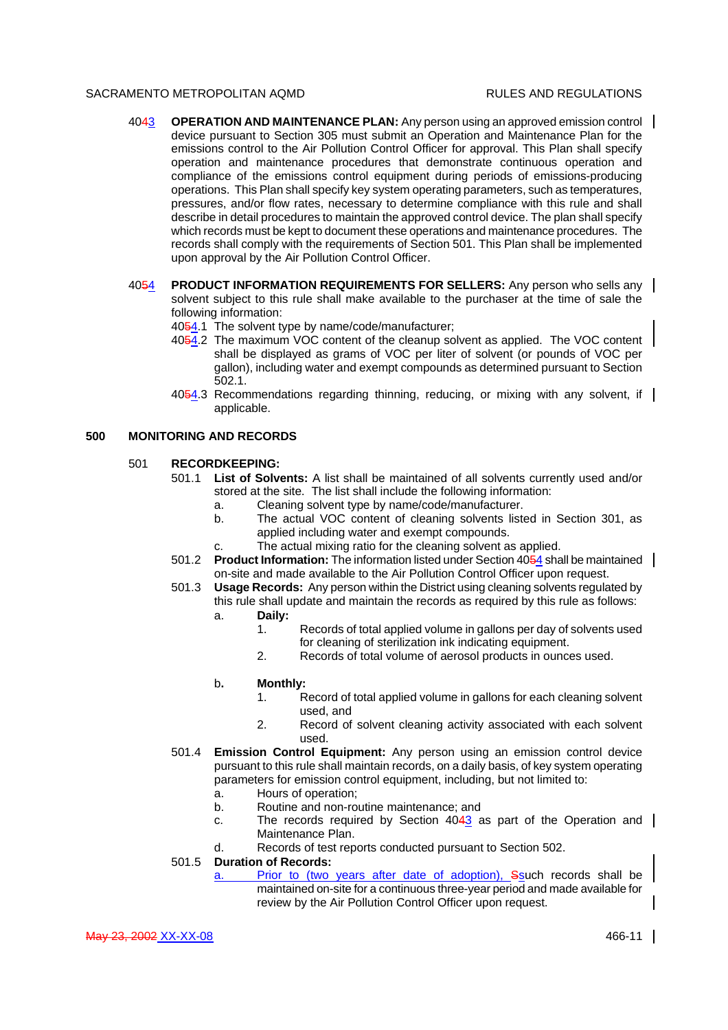- 4043 **OPERATION AND MAINTENANCE PLAN:** Any person using an approved emission control device pursuant to Section 305 must submit an Operation and Maintenance Plan for the emissions control to the Air Pollution Control Officer for approval. This Plan shall specify operation and maintenance procedures that demonstrate continuous operation and compliance of the emissions control equipment during periods of emissions-producing operations. This Plan shall specify key system operating parameters, such as temperatures, pressures, and/or flow rates, necessary to determine compliance with this rule and shall describe in detail procedures to maintain the approved control device. The plan shall specify which records must be kept to document these operations and maintenance procedures. The records shall comply with the requirements of Section 501. This Plan shall be implemented upon approval by the Air Pollution Control Officer.
- 4054 **PRODUCT INFORMATION REQUIREMENTS FOR SELLERS:** Any person who sells any solvent subject to this rule shall make available to the purchaser at the time of sale the following information:
	- 4054.1 The solvent type by name/code/manufacturer;
	- 4054.2 The maximum VOC content of the cleanup solvent as applied. The VOC content shall be displayed as grams of VOC per liter of solvent (or pounds of VOC per gallon), including water and exempt compounds as determined pursuant to Section 502.1.
	- 4054.3 Recommendations regarding thinning, reducing, or mixing with any solvent, if applicable.

#### **500 MONITORING AND RECORDS**

### 501 **RECORDKEEPING:**

- 501.1 **List of Solvents:** A list shall be maintained of all solvents currently used and/or stored at the site. The list shall include the following information:
	- a. Cleaning solvent type by name/code/manufacturer.
	- b. The actual VOC content of cleaning solvents listed in Section 301, as applied including water and exempt compounds.
	- c. The actual mixing ratio for the cleaning solvent as applied.
- 501.2 **Product Information:** The information listed under Section 4054 shall be maintained on-site and made available to the Air Pollution Control Officer upon request.
- 501.3 **Usage Records:** Any person within the District using cleaning solvents regulated by this rule shall update and maintain the records as required by this rule as follows:
	- a. **Daily:**
		- 1. Records of total applied volume in gallons per day of solvents used for cleaning of sterilization ink indicating equipment.
		- 2. Records of total volume of aerosol products in ounces used.

#### b**. Monthly:**

- 1. Record of total applied volume in gallons for each cleaning solvent used, and
- 2. Record of solvent cleaning activity associated with each solvent used.
- 501.4 **Emission Control Equipment:** Any person using an emission control device pursuant to this rule shall maintain records, on a daily basis, of key system operating parameters for emission control equipment, including, but not limited to:
	- a. Hours of operation;
	- b. Routine and non-routine maintenance; and
	- c. The records required by Section  $4043$  as part of the Operation and Maintenance Plan.
	- d. Records of test reports conducted pursuant to Section 502.
- 501.5 **Duration of Records:**
	- a. Prior to (two years after date of adoption), Ssuch records shall be maintained on-site for a continuous three-year period and made available for review by the Air Pollution Control Officer upon request.